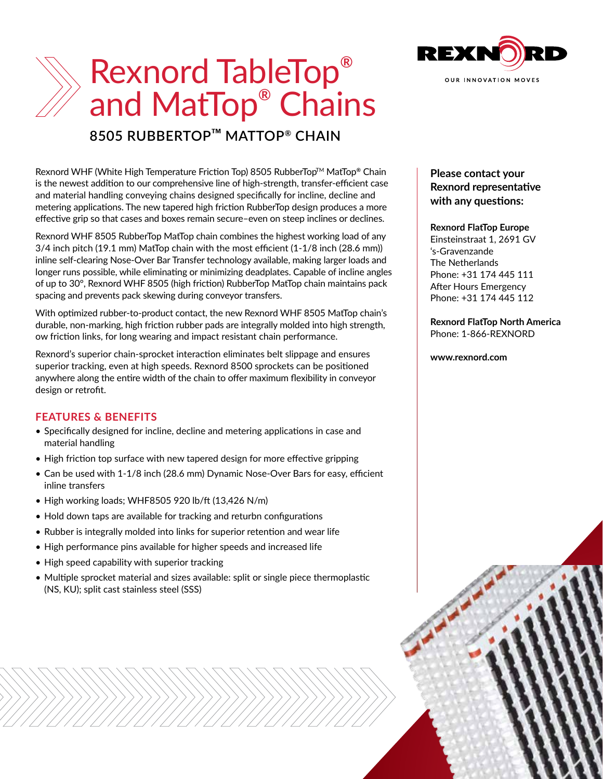

# Rexnord TableTop**®** and MatTop**®** Chains

## **8505 RUBBERTOP***™* **MATTOP® CHAIN**

Rexnord WHF (White High Temperature Friction Top) 8505 RubberTopTM MatTop**®** Chain is the newest addition to our comprehensive line of high-strength, transfer-efficient case and material handling conveying chains designed specifically for incline, decline and metering applications. The new tapered high friction RubberTop design produces a more effective grip so that cases and boxes remain secure–even on steep inclines or declines.

Rexnord WHF 8505 RubberTop MatTop chain combines the highest working load of any 3/4 inch pitch (19.1 mm) MatTop chain with the most efficient (1-1/8 inch (28.6 mm)) inline self-clearing Nose-Over Bar Transfer technology available, making larger loads and longer runs possible, while eliminating or minimizing deadplates. Capable of incline angles of up to 30°, Rexnord WHF 8505 (high friction) RubberTop MatTop chain maintains pack spacing and prevents pack skewing during conveyor transfers.

With optimized rubber-to-product contact, the new Rexnord WHF 8505 MatTop chain's durable, non-marking, high friction rubber pads are integrally molded into high strength, ow friction links, for long wearing and impact resistant chain performance.

Rexnord's superior chain-sprocket interaction eliminates belt slippage and ensures superior tracking, even at high speeds. Rexnord 8500 sprockets can be positioned anywhere along the entire width of the chain to offer maximum flexibility in conveyor design or retrofit.

#### **FEATURES & BENEFITS**

- Specifically designed for incline, decline and metering applications in case and material handling
- High friction top surface with new tapered design for more effective gripping
- Can be used with 1-1/8 inch (28.6 mm) Dynamic Nose-Over Bars for easy, efficient inline transfers
- High working loads; WHF8505 920 lb/ft (13,426 N/m)
- Hold down taps are available for tracking and returbn configurations
- Rubber is integrally molded into links for superior retention and wear life
- High performance pins available for higher speeds and increased life
- High speed capability with superior tracking
- Multiple sprocket material and sizes available: split or single piece thermoplastic (NS, KU); split cast stainless steel (SSS)

### **Please contact your Rexnord representative with any questions:**

#### **Rexnord FlatTop Europe**

Einsteinstraat 1, 2691 GV 's-Gravenzande The Netherlands Phone: +31 174 445 111 After Hours Emergency Phone: +31 174 445 112

#### **Rexnord FlatTop North America** Phone: 1-866-REXNORD

#### **www.rexnord.com**